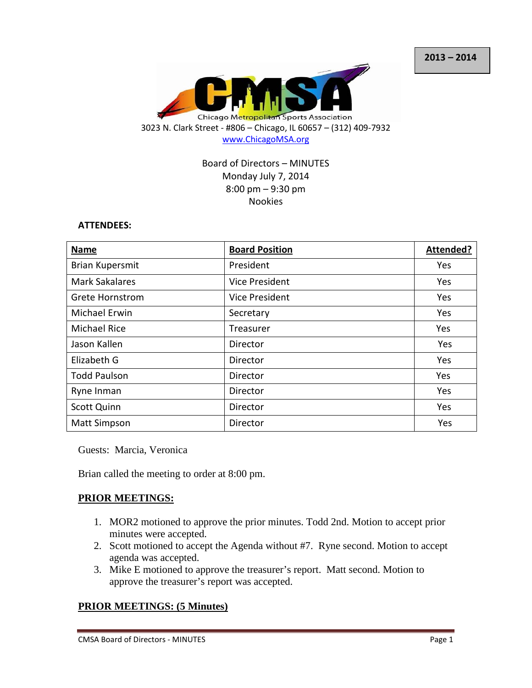

Board of Directors – MINUTES Monday July 7, 2014 8:00 pm – 9:30 pm Nookies

#### **ATTENDEES:**

| <b>Name</b>            | <b>Board Position</b> | Attended? |
|------------------------|-----------------------|-----------|
| <b>Brian Kupersmit</b> | President             | Yes       |
| <b>Mark Sakalares</b>  | Vice President        | Yes       |
| <b>Grete Hornstrom</b> | <b>Vice President</b> | Yes       |
| Michael Erwin          | Secretary             | Yes       |
| <b>Michael Rice</b>    | Treasurer             | Yes       |
| Jason Kallen           | Director              | Yes       |
| Elizabeth G            | Director              | Yes       |
| <b>Todd Paulson</b>    | Director              | Yes       |
| Ryne Inman             | Director              | Yes       |
| <b>Scott Quinn</b>     | Director              | Yes       |
| <b>Matt Simpson</b>    | Director              | Yes       |

Guests: Marcia, Veronica

Brian called the meeting to order at 8:00 pm.

## **PRIOR MEETINGS:**

- 1. MOR2 motioned to approve the prior minutes. Todd 2nd. Motion to accept prior minutes were accepted.
- 2. Scott motioned to accept the Agenda without #7. Ryne second. Motion to accept agenda was accepted.
- 3. Mike E motioned to approve the treasurer's report. Matt second. Motion to approve the treasurer's report was accepted.

## **PRIOR MEETINGS: (5 Minutes)**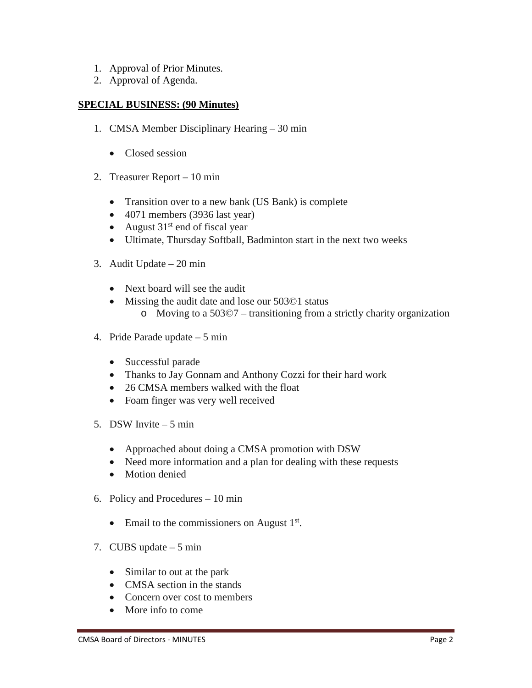- 1. Approval of Prior Minutes.
- 2. Approval of Agenda.

### **SPECIAL BUSINESS: (90 Minutes)**

- 1. CMSA Member Disciplinary Hearing 30 min
	- Closed session
- 2. Treasurer Report 10 min
	- Transition over to a new bank (US Bank) is complete
	- 4071 members (3936 last year)
	- August  $31<sup>st</sup>$  end of fiscal year
	- Ultimate, Thursday Softball, Badminton start in the next two weeks
- 3. Audit Update 20 min
	- Next board will see the audit
	- Missing the audit date and lose our 503©1 status o Moving to a 503©7 – transitioning from a strictly charity organization
- 4. Pride Parade update 5 min
	- Successful parade
	- Thanks to Jay Gonnam and Anthony Cozzi for their hard work
	- 26 CMSA members walked with the float
	- Foam finger was very well received
- 5. DSW Invite 5 min
	- Approached about doing a CMSA promotion with DSW
	- Need more information and a plan for dealing with these requests
	- Motion denied
- 6. Policy and Procedures 10 min
	- Email to the commissioners on August  $1<sup>st</sup>$ .
- 7. CUBS update 5 min
	- Similar to out at the park
	- CMSA section in the stands
	- Concern over cost to members
	- More info to come